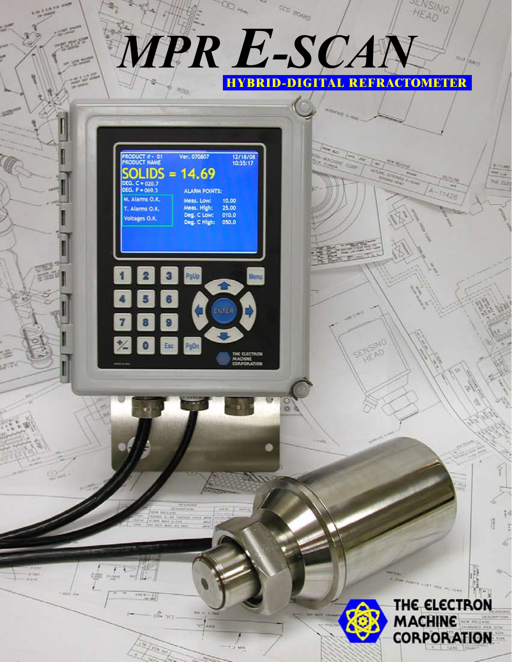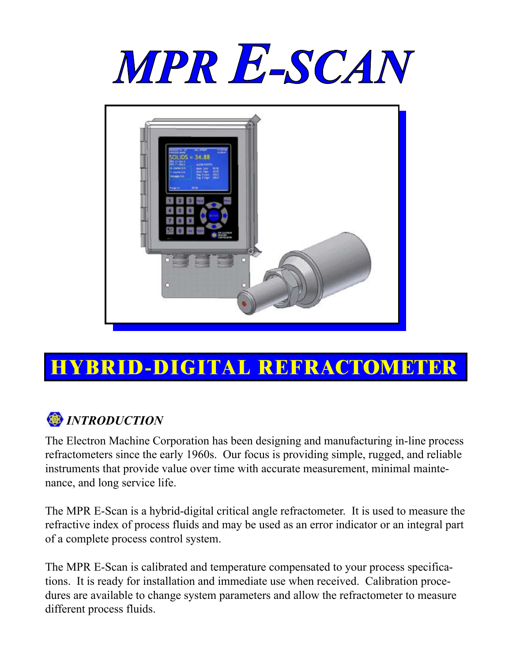



# **HYBRID-DIGITAL REFRACTOMETER**

# *<i><u>D</u> INTRODUCTION*

The Electron Machine Corporation has been designing and manufacturing in-line process refractometers since the early 1960s. Our focus is providing simple, rugged, and reliable instruments that provide value over time with accurate measurement, minimal maintenance, and long service life.

The MPR E-Scan is a hybrid-digital critical angle refractometer. It is used to measure the refractive index of process fluids and may be used as an error indicator or an integral part of a complete process control system.

The MPR E-Scan is calibrated and temperature compensated to your process specifications. It is ready for installation and immediate use when received. Calibration procedures are available to change system parameters and allow the refractometer to measure different process fluids.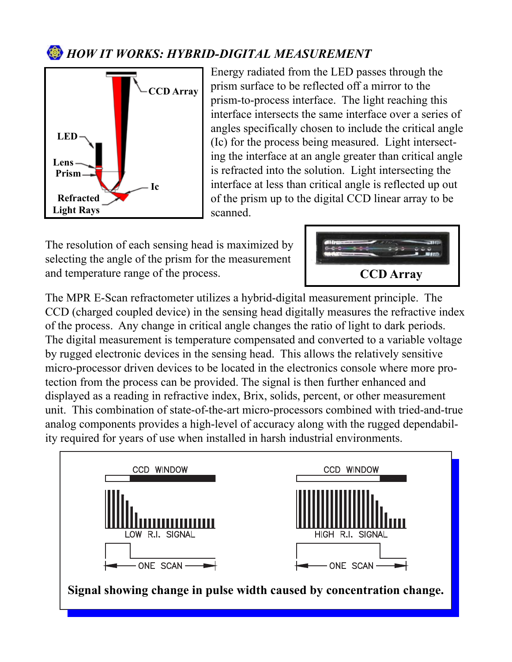### *B HOW IT WORKS: HYBRID-DIGITAL MEASUREMENT*



Energy radiated from the LED passes through the prism surface to be reflected off a mirror to the prism-to-process interface. The light reaching this interface intersects the same interface over a series of angles specifically chosen to include the critical angle (Ic) for the process being measured. Light intersecting the interface at an angle greater than critical angle is refracted into the solution. Light intersecting the interface at less than critical angle is reflected up out of the prism up to the digital CCD linear array to be scanned.

The resolution of each sensing head is maximized by selecting the angle of the prism for the measurement and temperature range of the process.



The MPR E-Scan refractometer utilizes a hybrid-digital measurement principle. The CCD (charged coupled device) in the sensing head digitally measures the refractive index of the process. Any change in critical angle changes the ratio of light to dark periods. The digital measurement is temperature compensated and converted to a variable voltage by rugged electronic devices in the sensing head. This allows the relatively sensitive micro-processor driven devices to be located in the electronics console where more protection from the process can be provided. The signal is then further enhanced and displayed as a reading in refractive index, Brix, solids, percent, or other measurement unit. This combination of state-of-the-art micro-processors combined with tried-and-true analog components provides a high-level of accuracy along with the rugged dependability required for years of use when installed in harsh industrial environments.

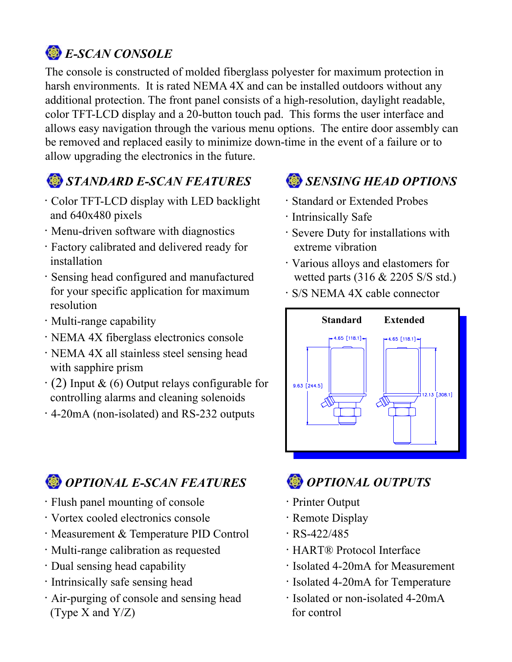# *E-SCAN CONSOLE*

The console is constructed of molded fiberglass polyester for maximum protection in harsh environments. It is rated NEMA 4X and can be installed outdoors without any additional protection. The front panel consists of a high-resolution, daylight readable, color TFT-LCD display and a 20-button touch pad. This forms the user interface and allows easy navigation through the various menu options. The entire door assembly can be removed and replaced easily to minimize down-time in the event of a failure or to allow upgrading the electronics in the future.

# *STANDARD E-SCAN FEATURES*

- · Color TFT-LCD display with LED backlight and 640x480 pixels
- · Menu-driven software with diagnostics
- · Factory calibrated and delivered ready for installation
- · Sensing head configured and manufactured for your specific application for maximum resolution
- · Multi-range capability
- · NEMA 4X fiberglass electronics console
- · NEMA 4X all stainless steel sensing head with sapphire prism
- $\cdot$  (2) Input & (6) Output relays configurable for controlling alarms and cleaning solenoids
- · 4-20mA (non-isolated) and RS-232 outputs

# *SENSING HEAD OPTIONS*

- · Standard or Extended Probes
- · Intrinsically Safe
- · Severe Duty for installations with extreme vibration
- · Various alloys and elastomers for wetted parts (316 & 2205 S/S std.)
- · S/S NEMA 4X cable connector



# *OPTIONAL E-SCAN FEATURES*

- · Flush panel mounting of console
- · Vortex cooled electronics console
- · Measurement & Temperature PID Control
- · Multi-range calibration as requested
- · Dual sensing head capability
- · Intrinsically safe sensing head
- · Air-purging of console and sensing head (Type X and Y/Z)

# *OPTIONAL OUTPUTS*

- · Printer Output
- · Remote Display
- $\cdot$  RS-422/485
- · HART® Protocol Interface
- · Isolated 4-20mA for Measurement
- · Isolated 4-20mA for Temperature
- · Isolated or non-isolated 4-20mA for control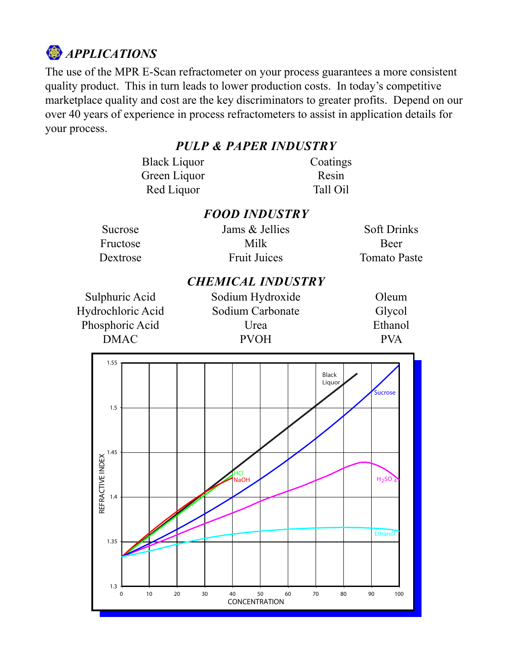

The use of the MPR E-Scan refractometer on your process guarantees a more consistent quality product. This in turn leads to lower production costs. In today's competitive marketplace quality and cost are the key discriminators to greater profits. Depend on our over 40 years of experience in process refractometers to assist in application details for your process.

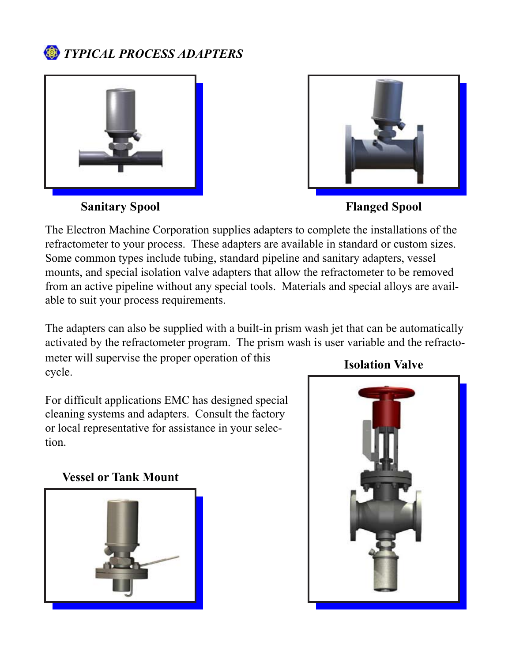### *TYPICAL PROCESS ADAPTERS*



**Sanitary Spool Flanged Spool**

The Electron Machine Corporation supplies adapters to complete the installations of the refractometer to your process. These adapters are available in standard or custom sizes. Some common types include tubing, standard pipeline and sanitary adapters, vessel mounts, and special isolation valve adapters that allow the refractometer to be removed from an active pipeline without any special tools. Materials and special alloys are available to suit your process requirements.

The adapters can also be supplied with a built-in prism wash jet that can be automatically activated by the refractometer program. The prism wash is user variable and the refracto-

meter will supervise the proper operation of this cycle.

For difficult applications EMC has designed special cleaning systems and adapters. Consult the factory or local representative for assistance in your selection.

#### **Vessel or Tank Mount**



#### **Isolation Valve**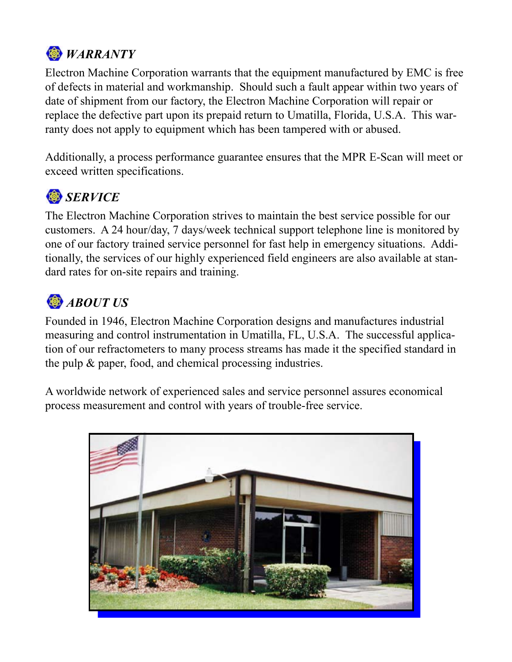

Electron Machine Corporation warrants that the equipment manufactured by EMC is free of defects in material and workmanship. Should such a fault appear within two years of date of shipment from our factory, the Electron Machine Corporation will repair or replace the defective part upon its prepaid return to Umatilla, Florida, U.S.A. This warranty does not apply to equipment which has been tampered with or abused.

Additionally, a process performance guarantee ensures that the MPR E-Scan will meet or exceed written specifications.

# *SERVICE*

The Electron Machine Corporation strives to maintain the best service possible for our customers. A 24 hour/day, 7 days/week technical support telephone line is monitored by one of our factory trained service personnel for fast help in emergency situations. Additionally, the services of our highly experienced field engineers are also available at standard rates for on-site repairs and training.

# *ABOUT US*

Founded in 1946, Electron Machine Corporation designs and manufactures industrial measuring and control instrumentation in Umatilla, FL, U.S.A. The successful application of our refractometers to many process streams has made it the specified standard in the pulp & paper, food, and chemical processing industries.

A worldwide network of experienced sales and service personnel assures economical process measurement and control with years of trouble-free service.